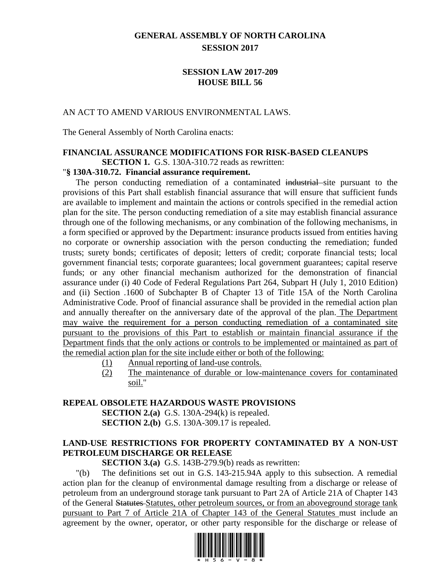### **GENERAL ASSEMBLY OF NORTH CAROLINA SESSION 2017**

#### **SESSION LAW 2017-209 HOUSE BILL 56**

#### AN ACT TO AMEND VARIOUS ENVIRONMENTAL LAWS.

The General Assembly of North Carolina enacts:

### **FINANCIAL ASSURANCE MODIFICATIONS FOR RISK-BASED CLEANUPS**

**SECTION 1.** G.S. 130A-310.72 reads as rewritten:

#### "**§ 130A-310.72. Financial assurance requirement.**

The person conducting remediation of a contaminated industrial site pursuant to the provisions of this Part shall establish financial assurance that will ensure that sufficient funds are available to implement and maintain the actions or controls specified in the remedial action plan for the site. The person conducting remediation of a site may establish financial assurance through one of the following mechanisms, or any combination of the following mechanisms, in a form specified or approved by the Department: insurance products issued from entities having no corporate or ownership association with the person conducting the remediation; funded trusts; surety bonds; certificates of deposit; letters of credit; corporate financial tests; local government financial tests; corporate guarantees; local government guarantees; capital reserve funds; or any other financial mechanism authorized for the demonstration of financial assurance under (i) 40 Code of Federal Regulations Part 264, Subpart H (July 1, 2010 Edition) and (ii) Section .1600 of Subchapter B of Chapter 13 of Title 15A of the North Carolina Administrative Code. Proof of financial assurance shall be provided in the remedial action plan and annually thereafter on the anniversary date of the approval of the plan. The Department may waive the requirement for a person conducting remediation of a contaminated site pursuant to the provisions of this Part to establish or maintain financial assurance if the Department finds that the only actions or controls to be implemented or maintained as part of the remedial action plan for the site include either or both of the following:

- (1) Annual reporting of land-use controls.
- (2) The maintenance of durable or low-maintenance covers for contaminated soil."

#### **REPEAL OBSOLETE HAZARDOUS WASTE PROVISIONS**

**SECTION 2.(a)** G.S. 130A-294(k) is repealed. **SECTION 2.(b)** G.S. 130A-309.17 is repealed.

### **LAND-USE RESTRICTIONS FOR PROPERTY CONTAMINATED BY A NON-UST PETROLEUM DISCHARGE OR RELEASE**

**SECTION 3.(a)** G.S. 143B-279.9(b) reads as rewritten:

"(b) The definitions set out in G.S. 143-215.94A apply to this subsection. A remedial action plan for the cleanup of environmental damage resulting from a discharge or release of petroleum from an underground storage tank pursuant to Part 2A of Article 21A of Chapter 143 of the General Statutes Statutes, other petroleum sources, or from an aboveground storage tank pursuant to Part 7 of Article 21A of Chapter 143 of the General Statutes must include an agreement by the owner, operator, or other party responsible for the discharge or release of

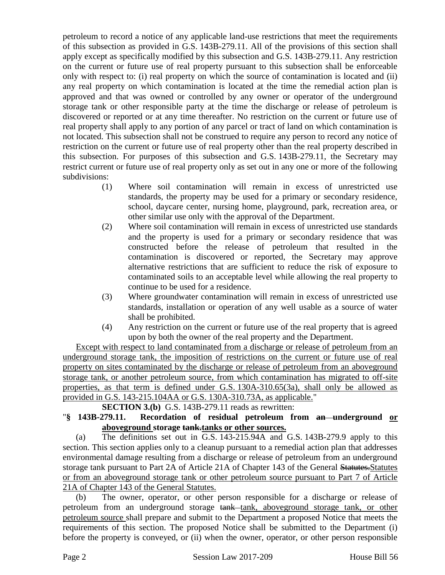petroleum to record a notice of any applicable land-use restrictions that meet the requirements of this subsection as provided in G.S. 143B-279.11. All of the provisions of this section shall apply except as specifically modified by this subsection and G.S. 143B-279.11. Any restriction on the current or future use of real property pursuant to this subsection shall be enforceable only with respect to: (i) real property on which the source of contamination is located and (ii) any real property on which contamination is located at the time the remedial action plan is approved and that was owned or controlled by any owner or operator of the underground storage tank or other responsible party at the time the discharge or release of petroleum is discovered or reported or at any time thereafter. No restriction on the current or future use of real property shall apply to any portion of any parcel or tract of land on which contamination is not located. This subsection shall not be construed to require any person to record any notice of restriction on the current or future use of real property other than the real property described in this subsection. For purposes of this subsection and G.S. 143B-279.11, the Secretary may restrict current or future use of real property only as set out in any one or more of the following subdivisions:

- (1) Where soil contamination will remain in excess of unrestricted use standards, the property may be used for a primary or secondary residence, school, daycare center, nursing home, playground, park, recreation area, or other similar use only with the approval of the Department.
- (2) Where soil contamination will remain in excess of unrestricted use standards and the property is used for a primary or secondary residence that was constructed before the release of petroleum that resulted in the contamination is discovered or reported, the Secretary may approve alternative restrictions that are sufficient to reduce the risk of exposure to contaminated soils to an acceptable level while allowing the real property to continue to be used for a residence.
- (3) Where groundwater contamination will remain in excess of unrestricted use standards, installation or operation of any well usable as a source of water shall be prohibited.
- (4) Any restriction on the current or future use of the real property that is agreed upon by both the owner of the real property and the Department.

Except with respect to land contaminated from a discharge or release of petroleum from an underground storage tank, the imposition of restrictions on the current or future use of real property on sites contaminated by the discharge or release of petroleum from an aboveground storage tank, or another petroleum source, from which contamination has migrated to off-site properties, as that term is defined under G.S. 130A-310.65(3a), shall only be allowed as provided in G.S. 143-215.104AA or G.S. 130A-310.73A, as applicable."

**SECTION 3.(b)** G.S. 143B-279.11 reads as rewritten:

### "**§ 143B-279.11. Recordation of residual petroleum from an underground or aboveground storage tank.tanks or other sources.**

(a) The definitions set out in G.S. 143-215.94A and G.S. 143B-279.9 apply to this section. This section applies only to a cleanup pursuant to a remedial action plan that addresses environmental damage resulting from a discharge or release of petroleum from an underground storage tank pursuant to Part 2A of Article 21A of Chapter 143 of the General Statutes.Statutes or from an aboveground storage tank or other petroleum source pursuant to Part 7 of Article 21A of Chapter 143 of the General Statutes.

(b) The owner, operator, or other person responsible for a discharge or release of petroleum from an underground storage tank tank, aboveground storage tank, or other petroleum source shall prepare and submit to the Department a proposed Notice that meets the requirements of this section. The proposed Notice shall be submitted to the Department (i) before the property is conveyed, or (ii) when the owner, operator, or other person responsible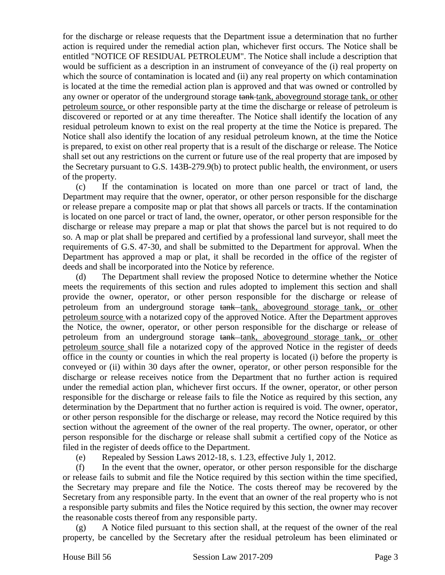for the discharge or release requests that the Department issue a determination that no further action is required under the remedial action plan, whichever first occurs. The Notice shall be entitled "NOTICE OF RESIDUAL PETROLEUM". The Notice shall include a description that would be sufficient as a description in an instrument of conveyance of the (i) real property on which the source of contamination is located and (ii) any real property on which contamination is located at the time the remedial action plan is approved and that was owned or controlled by any owner or operator of the underground storage tank-tank, aboveground storage tank, or other petroleum source, or other responsible party at the time the discharge or release of petroleum is discovered or reported or at any time thereafter. The Notice shall identify the location of any residual petroleum known to exist on the real property at the time the Notice is prepared. The Notice shall also identify the location of any residual petroleum known, at the time the Notice is prepared, to exist on other real property that is a result of the discharge or release. The Notice shall set out any restrictions on the current or future use of the real property that are imposed by the Secretary pursuant to G.S. 143B-279.9(b) to protect public health, the environment, or users of the property.

(c) If the contamination is located on more than one parcel or tract of land, the Department may require that the owner, operator, or other person responsible for the discharge or release prepare a composite map or plat that shows all parcels or tracts. If the contamination is located on one parcel or tract of land, the owner, operator, or other person responsible for the discharge or release may prepare a map or plat that shows the parcel but is not required to do so. A map or plat shall be prepared and certified by a professional land surveyor, shall meet the requirements of G.S. 47-30, and shall be submitted to the Department for approval. When the Department has approved a map or plat, it shall be recorded in the office of the register of deeds and shall be incorporated into the Notice by reference.

(d) The Department shall review the proposed Notice to determine whether the Notice meets the requirements of this section and rules adopted to implement this section and shall provide the owner, operator, or other person responsible for the discharge or release of petroleum from an underground storage tank tank, aboveground storage tank, or other petroleum source with a notarized copy of the approved Notice. After the Department approves the Notice, the owner, operator, or other person responsible for the discharge or release of petroleum from an underground storage tank tank, aboveground storage tank, or other petroleum source shall file a notarized copy of the approved Notice in the register of deeds office in the county or counties in which the real property is located (i) before the property is conveyed or (ii) within 30 days after the owner, operator, or other person responsible for the discharge or release receives notice from the Department that no further action is required under the remedial action plan, whichever first occurs. If the owner, operator, or other person responsible for the discharge or release fails to file the Notice as required by this section, any determination by the Department that no further action is required is void. The owner, operator, or other person responsible for the discharge or release, may record the Notice required by this section without the agreement of the owner of the real property. The owner, operator, or other person responsible for the discharge or release shall submit a certified copy of the Notice as filed in the register of deeds office to the Department.

(e) Repealed by Session Laws 2012-18, s. 1.23, effective July 1, 2012.

(f) In the event that the owner, operator, or other person responsible for the discharge or release fails to submit and file the Notice required by this section within the time specified, the Secretary may prepare and file the Notice. The costs thereof may be recovered by the Secretary from any responsible party. In the event that an owner of the real property who is not a responsible party submits and files the Notice required by this section, the owner may recover the reasonable costs thereof from any responsible party.

(g) A Notice filed pursuant to this section shall, at the request of the owner of the real property, be cancelled by the Secretary after the residual petroleum has been eliminated or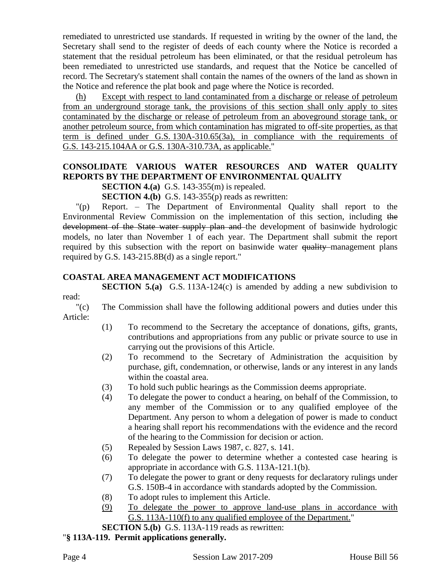remediated to unrestricted use standards. If requested in writing by the owner of the land, the Secretary shall send to the register of deeds of each county where the Notice is recorded a statement that the residual petroleum has been eliminated, or that the residual petroleum has been remediated to unrestricted use standards, and request that the Notice be cancelled of record. The Secretary's statement shall contain the names of the owners of the land as shown in the Notice and reference the plat book and page where the Notice is recorded.

(h) Except with respect to land contaminated from a discharge or release of petroleum from an underground storage tank, the provisions of this section shall only apply to sites contaminated by the discharge or release of petroleum from an aboveground storage tank, or another petroleum source, from which contamination has migrated to off-site properties, as that term is defined under G.S. 130A-310.65(3a), in compliance with the requirements of G.S. 143-215.104AA or G.S. 130A-310.73A, as applicable."

## **CONSOLIDATE VARIOUS WATER RESOURCES AND WATER QUALITY REPORTS BY THE DEPARTMENT OF ENVIRONMENTAL QUALITY**

**SECTION 4.(a)** G.S. 143-355(m) is repealed.

**SECTION 4.(b)** G.S. 143-355(p) reads as rewritten:

"(p) Report. – The Department of Environmental Quality shall report to the Environmental Review Commission on the implementation of this section, including the development of the State water supply plan and the development of basinwide hydrologic models, no later than November 1 of each year. The Department shall submit the report required by this subsection with the report on basinwide water quality management plans required by G.S. 143-215.8B(d) as a single report."

### **COASTAL AREA MANAGEMENT ACT MODIFICATIONS**

**SECTION 5.(a)** G.S. 113A-124(c) is amended by adding a new subdivision to read:

"(c) The Commission shall have the following additional powers and duties under this Article:

- (1) To recommend to the Secretary the acceptance of donations, gifts, grants, contributions and appropriations from any public or private source to use in carrying out the provisions of this Article.
- (2) To recommend to the Secretary of Administration the acquisition by purchase, gift, condemnation, or otherwise, lands or any interest in any lands within the coastal area.
- (3) To hold such public hearings as the Commission deems appropriate.
- (4) To delegate the power to conduct a hearing, on behalf of the Commission, to any member of the Commission or to any qualified employee of the Department. Any person to whom a delegation of power is made to conduct a hearing shall report his recommendations with the evidence and the record of the hearing to the Commission for decision or action.
- (5) Repealed by Session Laws 1987, c. 827, s. 141.
- (6) To delegate the power to determine whether a contested case hearing is appropriate in accordance with G.S. 113A-121.1(b).
- (7) To delegate the power to grant or deny requests for declaratory rulings under G.S. 150B-4 in accordance with standards adopted by the Commission.
- (8) To adopt rules to implement this Article.
- (9) To delegate the power to approve land-use plans in accordance with G.S. 113A-110(f) to any qualified employee of the Department."

**SECTION 5.(b)** G.S. 113A-119 reads as rewritten:

#### "**§ 113A-119. Permit applications generally.**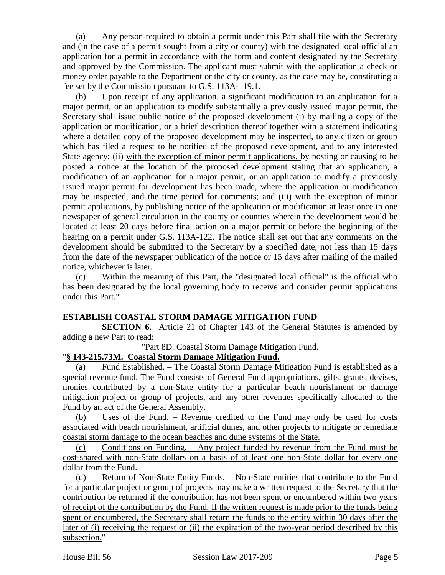(a) Any person required to obtain a permit under this Part shall file with the Secretary and (in the case of a permit sought from a city or county) with the designated local official an application for a permit in accordance with the form and content designated by the Secretary and approved by the Commission. The applicant must submit with the application a check or money order payable to the Department or the city or county, as the case may be, constituting a fee set by the Commission pursuant to G.S. 113A-119.1.

(b) Upon receipt of any application, a significant modification to an application for a major permit, or an application to modify substantially a previously issued major permit, the Secretary shall issue public notice of the proposed development (i) by mailing a copy of the application or modification, or a brief description thereof together with a statement indicating where a detailed copy of the proposed development may be inspected, to any citizen or group which has filed a request to be notified of the proposed development, and to any interested State agency; (ii) with the exception of minor permit applications, by posting or causing to be posted a notice at the location of the proposed development stating that an application, a modification of an application for a major permit, or an application to modify a previously issued major permit for development has been made, where the application or modification may be inspected, and the time period for comments; and (iii) with the exception of minor permit applications, by publishing notice of the application or modification at least once in one newspaper of general circulation in the county or counties wherein the development would be located at least 20 days before final action on a major permit or before the beginning of the hearing on a permit under G.S. 113A-122. The notice shall set out that any comments on the development should be submitted to the Secretary by a specified date, not less than 15 days from the date of the newspaper publication of the notice or 15 days after mailing of the mailed notice, whichever is later.

(c) Within the meaning of this Part, the "designated local official" is the official who has been designated by the local governing body to receive and consider permit applications under this Part."

### **ESTABLISH COASTAL STORM DAMAGE MITIGATION FUND**

**SECTION 6.** Article 21 of Chapter 143 of the General Statutes is amended by adding a new Part to read:

"Part 8D. Coastal Storm Damage Mitigation Fund.

### "**§ 143-215.73M. Coastal Storm Damage Mitigation Fund.**

(a) Fund Established. – The Coastal Storm Damage Mitigation Fund is established as a special revenue fund. The Fund consists of General Fund appropriations, gifts, grants, devises, monies contributed by a non-State entity for a particular beach nourishment or damage mitigation project or group of projects, and any other revenues specifically allocated to the Fund by an act of the General Assembly.

(b) Uses of the Fund. – Revenue credited to the Fund may only be used for costs associated with beach nourishment, artificial dunes, and other projects to mitigate or remediate coastal storm damage to the ocean beaches and dune systems of the State.

(c) Conditions on Funding. – Any project funded by revenue from the Fund must be cost-shared with non-State dollars on a basis of at least one non-State dollar for every one dollar from the Fund.

(d) Return of Non-State Entity Funds. – Non-State entities that contribute to the Fund for a particular project or group of projects may make a written request to the Secretary that the contribution be returned if the contribution has not been spent or encumbered within two years of receipt of the contribution by the Fund. If the written request is made prior to the funds being spent or encumbered, the Secretary shall return the funds to the entity within 30 days after the later of (i) receiving the request or (ii) the expiration of the two-year period described by this subsection."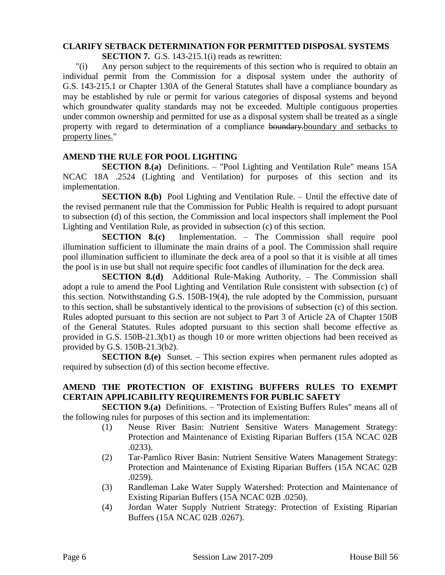# **CLARIFY SETBACK DETERMINATION FOR PERMITTED DISPOSAL SYSTEMS**

**SECTION 7.** G.S. 143-215.1(i) reads as rewritten:

"(i) Any person subject to the requirements of this section who is required to obtain an individual permit from the Commission for a disposal system under the authority of G.S. 143-215.1 or Chapter 130A of the General Statutes shall have a compliance boundary as may be established by rule or permit for various categories of disposal systems and beyond which groundwater quality standards may not be exceeded. Multiple contiguous properties under common ownership and permitted for use as a disposal system shall be treated as a single property with regard to determination of a compliance boundary.boundary and setbacks to property lines."

### **AMEND THE RULE FOR POOL LIGHTING**

**SECTION 8.(a)** Definitions. – "Pool Lighting and Ventilation Rule" means 15A NCAC 18A .2524 (Lighting and Ventilation) for purposes of this section and its implementation.

**SECTION 8.(b)** Pool Lighting and Ventilation Rule. – Until the effective date of the revised permanent rule that the Commission for Public Health is required to adopt pursuant to subsection (d) of this section, the Commission and local inspectors shall implement the Pool Lighting and Ventilation Rule, as provided in subsection (c) of this section.

**SECTION 8.(c)** Implementation. – The Commission shall require pool illumination sufficient to illuminate the main drains of a pool. The Commission shall require pool illumination sufficient to illuminate the deck area of a pool so that it is visible at all times the pool is in use but shall not require specific foot candles of illumination for the deck area.

**SECTION 8.(d)** Additional Rule-Making Authority. – The Commission shall adopt a rule to amend the Pool Lighting and Ventilation Rule consistent with subsection (c) of this section. Notwithstanding G.S. 150B-19(4), the rule adopted by the Commission, pursuant to this section, shall be substantively identical to the provisions of subsection (c) of this section. Rules adopted pursuant to this section are not subject to Part 3 of Article 2A of Chapter 150B of the General Statutes. Rules adopted pursuant to this section shall become effective as provided in G.S. 150B-21.3(b1) as though 10 or more written objections had been received as provided by G.S. 150B-21.3(b2).

**SECTION 8.(e)** Sunset. – This section expires when permanent rules adopted as required by subsection (d) of this section become effective.

### **AMEND THE PROTECTION OF EXISTING BUFFERS RULES TO EXEMPT CERTAIN APPLICABILITY REQUIREMENTS FOR PUBLIC SAFETY**

**SECTION 9.(a)** Definitions. – "Protection of Existing Buffers Rules" means all of the following rules for purposes of this section and its implementation:

- (1) Neuse River Basin: Nutrient Sensitive Waters Management Strategy: Protection and Maintenance of Existing Riparian Buffers (15A NCAC 02B .0233).
- (2) Tar-Pamlico River Basin: Nutrient Sensitive Waters Management Strategy: Protection and Maintenance of Existing Riparian Buffers (15A NCAC 02B .0259).
- (3) Randleman Lake Water Supply Watershed: Protection and Maintenance of Existing Riparian Buffers (15A NCAC 02B .0250).
- (4) Jordan Water Supply Nutrient Strategy: Protection of Existing Riparian Buffers (15A NCAC 02B .0267).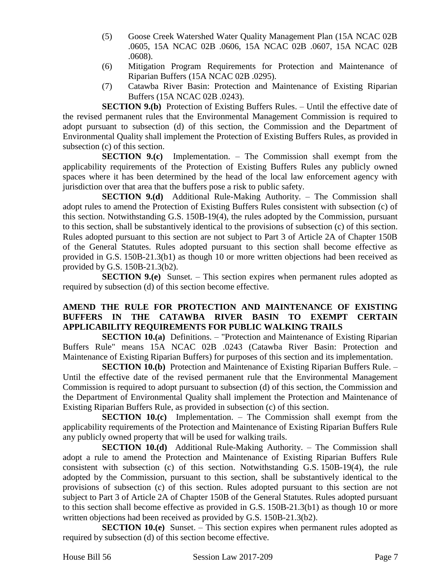- (5) Goose Creek Watershed Water Quality Management Plan (15A NCAC 02B .0605, 15A NCAC 02B .0606, 15A NCAC 02B .0607, 15A NCAC 02B .0608).
- (6) Mitigation Program Requirements for Protection and Maintenance of Riparian Buffers (15A NCAC 02B .0295).
- (7) Catawba River Basin: Protection and Maintenance of Existing Riparian Buffers (15A NCAC 02B .0243).

**SECTION 9.(b)** Protection of Existing Buffers Rules. – Until the effective date of the revised permanent rules that the Environmental Management Commission is required to adopt pursuant to subsection (d) of this section, the Commission and the Department of Environmental Quality shall implement the Protection of Existing Buffers Rules, as provided in subsection (c) of this section.

**SECTION 9.(c)** Implementation. – The Commission shall exempt from the applicability requirements of the Protection of Existing Buffers Rules any publicly owned spaces where it has been determined by the head of the local law enforcement agency with jurisdiction over that area that the buffers pose a risk to public safety.

**SECTION 9.(d)** Additional Rule-Making Authority. – The Commission shall adopt rules to amend the Protection of Existing Buffers Rules consistent with subsection (c) of this section. Notwithstanding G.S. 150B-19(4), the rules adopted by the Commission, pursuant to this section, shall be substantively identical to the provisions of subsection (c) of this section. Rules adopted pursuant to this section are not subject to Part 3 of Article 2A of Chapter 150B of the General Statutes. Rules adopted pursuant to this section shall become effective as provided in G.S. 150B-21.3(b1) as though 10 or more written objections had been received as provided by G.S. 150B-21.3(b2).

**SECTION 9.(e)** Sunset. – This section expires when permanent rules adopted as required by subsection (d) of this section become effective.

#### **AMEND THE RULE FOR PROTECTION AND MAINTENANCE OF EXISTING BUFFERS IN THE CATAWBA RIVER BASIN TO EXEMPT CERTAIN APPLICABILITY REQUIREMENTS FOR PUBLIC WALKING TRAILS**

**SECTION 10.(a)** Definitions. – "Protection and Maintenance of Existing Riparian Buffers Rule" means 15A NCAC 02B .0243 (Catawba River Basin: Protection and Maintenance of Existing Riparian Buffers) for purposes of this section and its implementation.

**SECTION 10.(b)** Protection and Maintenance of Existing Riparian Buffers Rule. – Until the effective date of the revised permanent rule that the Environmental Management Commission is required to adopt pursuant to subsection (d) of this section, the Commission and the Department of Environmental Quality shall implement the Protection and Maintenance of Existing Riparian Buffers Rule, as provided in subsection (c) of this section.

**SECTION 10.(c)** Implementation. – The Commission shall exempt from the applicability requirements of the Protection and Maintenance of Existing Riparian Buffers Rule any publicly owned property that will be used for walking trails.

**SECTION 10.(d)** Additional Rule-Making Authority. – The Commission shall adopt a rule to amend the Protection and Maintenance of Existing Riparian Buffers Rule consistent with subsection (c) of this section. Notwithstanding G.S. 150B-19(4), the rule adopted by the Commission, pursuant to this section, shall be substantively identical to the provisions of subsection (c) of this section. Rules adopted pursuant to this section are not subject to Part 3 of Article 2A of Chapter 150B of the General Statutes. Rules adopted pursuant to this section shall become effective as provided in G.S. 150B-21.3(b1) as though 10 or more written objections had been received as provided by G.S. 150B-21.3(b2).

**SECTION 10.(e)** Sunset. – This section expires when permanent rules adopted as required by subsection (d) of this section become effective.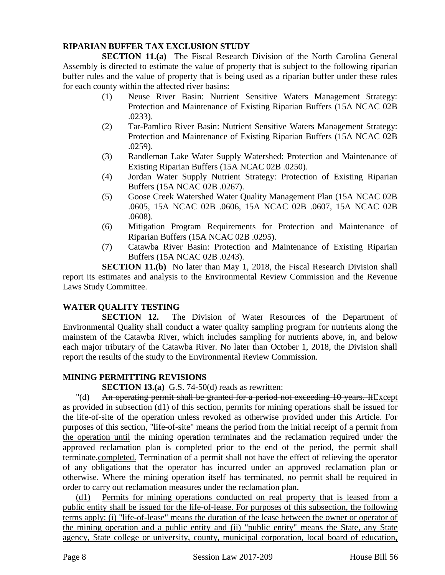### **RIPARIAN BUFFER TAX EXCLUSION STUDY**

**SECTION 11.(a)** The Fiscal Research Division of the North Carolina General Assembly is directed to estimate the value of property that is subject to the following riparian buffer rules and the value of property that is being used as a riparian buffer under these rules for each county within the affected river basins:

- (1) Neuse River Basin: Nutrient Sensitive Waters Management Strategy: Protection and Maintenance of Existing Riparian Buffers (15A NCAC 02B .0233).
- (2) Tar-Pamlico River Basin: Nutrient Sensitive Waters Management Strategy: Protection and Maintenance of Existing Riparian Buffers (15A NCAC 02B .0259).
- (3) Randleman Lake Water Supply Watershed: Protection and Maintenance of Existing Riparian Buffers (15A NCAC 02B .0250).
- (4) Jordan Water Supply Nutrient Strategy: Protection of Existing Riparian Buffers (15A NCAC 02B .0267).
- (5) Goose Creek Watershed Water Quality Management Plan (15A NCAC 02B .0605, 15A NCAC 02B .0606, 15A NCAC 02B .0607, 15A NCAC 02B .0608).
- (6) Mitigation Program Requirements for Protection and Maintenance of Riparian Buffers (15A NCAC 02B .0295).
- (7) Catawba River Basin: Protection and Maintenance of Existing Riparian Buffers (15A NCAC 02B .0243).

**SECTION 11.(b)** No later than May 1, 2018, the Fiscal Research Division shall report its estimates and analysis to the Environmental Review Commission and the Revenue Laws Study Committee.

### **WATER QUALITY TESTING**

**SECTION 12.** The Division of Water Resources of the Department of Environmental Quality shall conduct a water quality sampling program for nutrients along the mainstem of the Catawba River, which includes sampling for nutrients above, in, and below each major tributary of the Catawba River. No later than October 1, 2018, the Division shall report the results of the study to the Environmental Review Commission.

### **MINING PERMITTING REVISIONS**

**SECTION 13.(a)** G.S. 74-50(d) reads as rewritten:

"(d) An operating permit shall be granted for a period not exceeding 10 years. IfExcept as provided in subsection (d1) of this section, permits for mining operations shall be issued for the life-of-site of the operation unless revoked as otherwise provided under this Article. For purposes of this section, "life-of-site" means the period from the initial receipt of a permit from the operation until the mining operation terminates and the reclamation required under the approved reclamation plan is completed prior to the end of the period, the permit shall terminate.completed. Termination of a permit shall not have the effect of relieving the operator of any obligations that the operator has incurred under an approved reclamation plan or otherwise. Where the mining operation itself has terminated, no permit shall be required in order to carry out reclamation measures under the reclamation plan.

(d1) Permits for mining operations conducted on real property that is leased from a public entity shall be issued for the life-of-lease. For purposes of this subsection, the following terms apply: (i) "life-of-lease" means the duration of the lease between the owner or operator of the mining operation and a public entity and (ii) "public entity" means the State, any State agency, State college or university, county, municipal corporation, local board of education,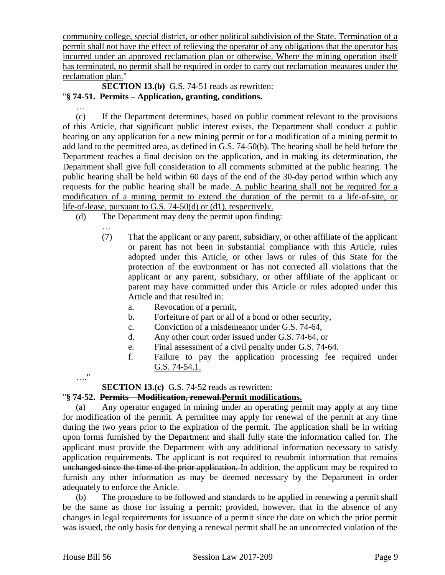community college, special district, or other political subdivision of the State. Termination of a permit shall not have the effect of relieving the operator of any obligations that the operator has incurred under an approved reclamation plan or otherwise. Where the mining operation itself has terminated, no permit shall be required in order to carry out reclamation measures under the reclamation plan."

**SECTION 13.(b)** G.S. 74-51 reads as rewritten: "**§ 74-51. Permits – Application, granting, conditions.**

…

(c) If the Department determines, based on public comment relevant to the provisions of this Article, that significant public interest exists, the Department shall conduct a public hearing on any application for a new mining permit or for a modification of a mining permit to add land to the permitted area, as defined in G.S. 74-50(b). The hearing shall be held before the Department reaches a final decision on the application, and in making its determination, the Department shall give full consideration to all comments submitted at the public hearing. The public hearing shall be held within 60 days of the end of the 30-day period within which any requests for the public hearing shall be made. A public hearing shall not be required for a modification of a mining permit to extend the duration of the permit to a life-of-site, or life-of-lease, pursuant to G.S. 74-50(d) or (d1), respectively.

- (d) The Department may deny the permit upon finding:
	- … (7) That the applicant or any parent, subsidiary, or other affiliate of the applicant or parent has not been in substantial compliance with this Article, rules adopted under this Article, or other laws or rules of this State for the protection of the environment or has not corrected all violations that the applicant or any parent, subsidiary, or other affiliate of the applicant or parent may have committed under this Article or rules adopted under this Article and that resulted in:
		- a. Revocation of a permit,
		- b. Forfeiture of part or all of a bond or other security,
		- c. Conviction of a misdemeanor under G.S. 74-64,
		- d. Any other court order issued under G.S. 74-64, or
		- e. Final assessment of a civil penalty under G.S. 74-64.
		- f. Failure to pay the application processing fee required under G.S. 74-54.1.

…."

**SECTION 13.(c)** G.S. 74-52 reads as rewritten:

### "**§ 74-52. Permits – Modification, renewal.Permit modifications.**

(a) Any operator engaged in mining under an operating permit may apply at any time for modification of the permit. A permittee may apply for renewal of the permit at any time during the two years prior to the expiration of the permit. The application shall be in writing upon forms furnished by the Department and shall fully state the information called for. The applicant must provide the Department with any additional information necessary to satisfy application requirements. The applicant is not required to resubmit information that remains unchanged since the time of the prior application. In addition, the applicant may be required to furnish any other information as may be deemed necessary by the Department in order adequately to enforce the Article.

(b) The procedure to be followed and standards to be applied in renewing a permit shall be the same as those for issuing a permit; provided, however, that in the absence of any changes in legal requirements for issuance of a permit since the date on which the prior permit was issued, the only basis for denying a renewal permit shall be an uncorrected violation of the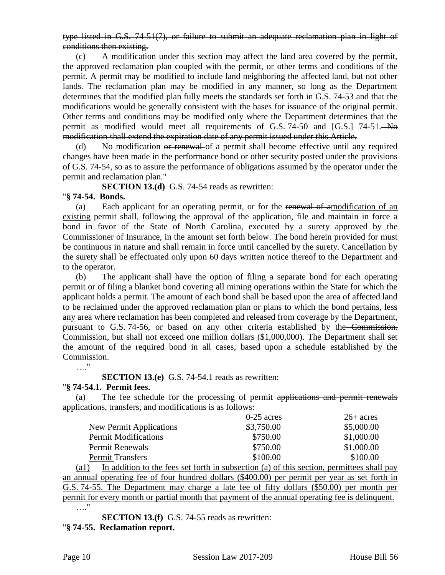type listed in G.S. 74-51(7), or failure to submit an adequate reclamation plan in light of conditions then existing.

(c) A modification under this section may affect the land area covered by the permit, the approved reclamation plan coupled with the permit, or other terms and conditions of the permit. A permit may be modified to include land neighboring the affected land, but not other lands. The reclamation plan may be modified in any manner, so long as the Department determines that the modified plan fully meets the standards set forth in G.S. 74-53 and that the modifications would be generally consistent with the bases for issuance of the original permit. Other terms and conditions may be modified only where the Department determines that the permit as modified would meet all requirements of G.S. 74-50 and [G.S.] 74-51. No modification shall extend the expiration date of any permit issued under this Article.

(d) No modification or renewal of a permit shall become effective until any required changes have been made in the performance bond or other security posted under the provisions of G.S. 74-54, so as to assure the performance of obligations assumed by the operator under the permit and reclamation plan."

**SECTION 13.(d)** G.S. 74-54 reads as rewritten:

#### "**§ 74-54. Bonds.**

(a) Each applicant for an operating permit, or for the renewal of amodification of an existing permit shall, following the approval of the application, file and maintain in force a bond in favor of the State of North Carolina, executed by a surety approved by the Commissioner of Insurance, in the amount set forth below. The bond herein provided for must be continuous in nature and shall remain in force until cancelled by the surety. Cancellation by the surety shall be effectuated only upon 60 days written notice thereof to the Department and to the operator.

(b) The applicant shall have the option of filing a separate bond for each operating permit or of filing a blanket bond covering all mining operations within the State for which the applicant holds a permit. The amount of each bond shall be based upon the area of affected land to be reclaimed under the approved reclamation plan or plans to which the bond pertains, less any area where reclamation has been completed and released from coverage by the Department, pursuant to G.S. 74-56, or based on any other criteria established by the Commission. Commission, but shall not exceed one million dollars (\$1,000,000). The Department shall set the amount of the required bond in all cases, based upon a schedule established by the Commission.

…"

**SECTION 13.(e)** G.S. 74-54.1 reads as rewritten:

#### "**§ 74-54.1. Permit fees.**

(a) The fee schedule for the processing of permit applications and permit renewals applications, transfers, and modifications is as follows:

|                             | $0-25$ acres | $26+$ acres |
|-----------------------------|--------------|-------------|
| New Permit Applications     | \$3,750.00   | \$5,000.00  |
| <b>Permit Modifications</b> | \$750.00     | \$1,000.00  |
| Permit Renewals             | \$750.00     | \$1,000.00  |
| <b>Permit Transfers</b>     | \$100.00     | \$100.00    |

(a1) In addition to the fees set forth in subsection (a) of this section, permittees shall pay an annual operating fee of four hundred dollars (\$400.00) per permit per year as set forth in G.S. 74-55. The Department may charge a late fee of fifty dollars (\$50.00) per month per permit for every month or partial month that payment of the annual operating fee is delinquent. …"

**SECTION 13.(f)** G.S. 74-55 reads as rewritten:

"**§ 74-55. Reclamation report.**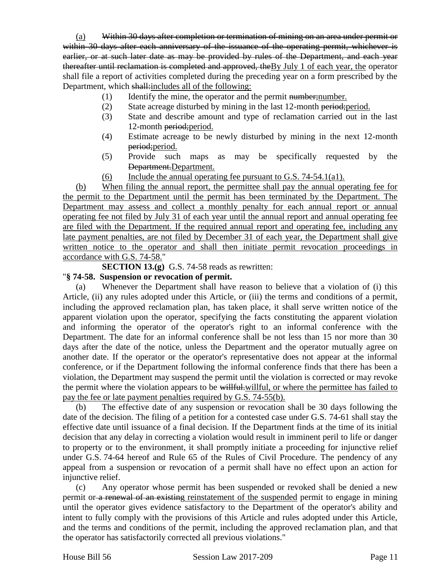(a) Within 30 days after completion or termination of mining on an area under permit or within 30 days after each anniversary of the issuance of the operating permit, whichever is earlier, or at such later date as may be provided by rules of the Department, and each year thereafter until reclamation is completed and approved, theBy July 1 of each year, the operator shall file a report of activities completed during the preceding year on a form prescribed by the Department, which shall: includes all of the following:

- (1) Identify the mine, the operator and the permit number; number.
- (2) State acreage disturbed by mining in the last 12-month period;period.
- (3) State and describe amount and type of reclamation carried out in the last 12-month period; period.
- (4) Estimate acreage to be newly disturbed by mining in the next 12-month period;period.
- (5) Provide such maps as may be specifically requested by the Department.Department.
- (6) Include the annual operating fee pursuant to G.S.  $74-54.1(a1)$ .

(b) When filing the annual report, the permittee shall pay the annual operating fee for the permit to the Department until the permit has been terminated by the Department. The Department may assess and collect a monthly penalty for each annual report or annual operating fee not filed by July 31 of each year until the annual report and annual operating fee are filed with the Department. If the required annual report and operating fee, including any late payment penalties, are not filed by December 31 of each year, the Department shall give written notice to the operator and shall then initiate permit revocation proceedings in accordance with G.S. 74-58."

**SECTION 13.(g)** G.S. 74-58 reads as rewritten:

#### "**§ 74-58. Suspension or revocation of permit.**

(a) Whenever the Department shall have reason to believe that a violation of (i) this Article, (ii) any rules adopted under this Article, or (iii) the terms and conditions of a permit, including the approved reclamation plan, has taken place, it shall serve written notice of the apparent violation upon the operator, specifying the facts constituting the apparent violation and informing the operator of the operator's right to an informal conference with the Department. The date for an informal conference shall be not less than 15 nor more than 30 days after the date of the notice, unless the Department and the operator mutually agree on another date. If the operator or the operator's representative does not appear at the informal conference, or if the Department following the informal conference finds that there has been a violation, the Department may suspend the permit until the violation is corrected or may revoke the permit where the violation appears to be willful, willful, or where the permittee has failed to pay the fee or late payment penalties required by G.S. 74-55(b).

(b) The effective date of any suspension or revocation shall be 30 days following the date of the decision. The filing of a petition for a contested case under G.S. 74-61 shall stay the effective date until issuance of a final decision. If the Department finds at the time of its initial decision that any delay in correcting a violation would result in imminent peril to life or danger to property or to the environment, it shall promptly initiate a proceeding for injunctive relief under G.S. 74-64 hereof and Rule 65 of the Rules of Civil Procedure. The pendency of any appeal from a suspension or revocation of a permit shall have no effect upon an action for injunctive relief.

(c) Any operator whose permit has been suspended or revoked shall be denied a new permit or a renewal of an existing reinstatement of the suspended permit to engage in mining until the operator gives evidence satisfactory to the Department of the operator's ability and intent to fully comply with the provisions of this Article and rules adopted under this Article, and the terms and conditions of the permit, including the approved reclamation plan, and that the operator has satisfactorily corrected all previous violations."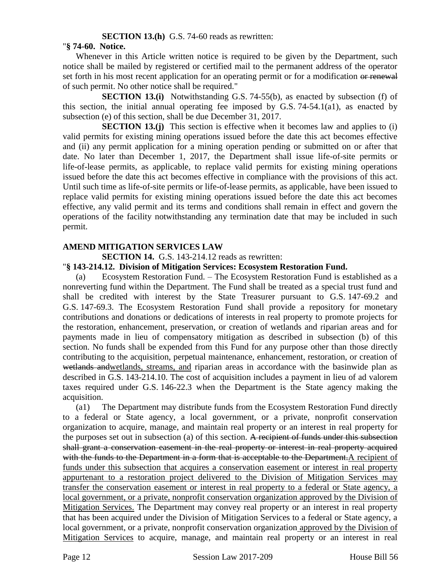#### **SECTION 13.(h)** G.S. 74-60 reads as rewritten:

#### "**§ 74-60. Notice.**

Whenever in this Article written notice is required to be given by the Department, such notice shall be mailed by registered or certified mail to the permanent address of the operator set forth in his most recent application for an operating permit or for a modification or renewal of such permit. No other notice shall be required."

**SECTION 13.(i)** Notwithstanding G.S. 74-55(b), as enacted by subsection (f) of this section, the initial annual operating fee imposed by G.S. 74-54.1(a1), as enacted by subsection (e) of this section, shall be due December 31, 2017.

**SECTION 13.(j)** This section is effective when it becomes law and applies to (i) valid permits for existing mining operations issued before the date this act becomes effective and (ii) any permit application for a mining operation pending or submitted on or after that date. No later than December 1, 2017, the Department shall issue life-of-site permits or life-of-lease permits, as applicable, to replace valid permits for existing mining operations issued before the date this act becomes effective in compliance with the provisions of this act. Until such time as life-of-site permits or life-of-lease permits, as applicable, have been issued to replace valid permits for existing mining operations issued before the date this act becomes effective, any valid permit and its terms and conditions shall remain in effect and govern the operations of the facility notwithstanding any termination date that may be included in such permit.

#### **AMEND MITIGATION SERVICES LAW**

**SECTION 14.** G.S. 143-214.12 reads as rewritten:

#### "**§ 143-214.12. Division of Mitigation Services: Ecosystem Restoration Fund.**

(a) Ecosystem Restoration Fund. – The Ecosystem Restoration Fund is established as a nonreverting fund within the Department. The Fund shall be treated as a special trust fund and shall be credited with interest by the State Treasurer pursuant to G.S. 147-69.2 and G.S. 147-69.3. The Ecosystem Restoration Fund shall provide a repository for monetary contributions and donations or dedications of interests in real property to promote projects for the restoration, enhancement, preservation, or creation of wetlands and riparian areas and for payments made in lieu of compensatory mitigation as described in subsection (b) of this section. No funds shall be expended from this Fund for any purpose other than those directly contributing to the acquisition, perpetual maintenance, enhancement, restoration, or creation of wetlands andwetlands, streams, and riparian areas in accordance with the basinwide plan as described in G.S. 143-214.10. The cost of acquisition includes a payment in lieu of ad valorem taxes required under G.S. 146-22.3 when the Department is the State agency making the acquisition.

(a1) The Department may distribute funds from the Ecosystem Restoration Fund directly to a federal or State agency, a local government, or a private, nonprofit conservation organization to acquire, manage, and maintain real property or an interest in real property for the purposes set out in subsection (a) of this section. A recipient of funds under this subsection shall grant a conservation easement in the real property or interest in real property acquired with the funds to the Department in a form that is acceptable to the Department. A recipient of funds under this subsection that acquires a conservation easement or interest in real property appurtenant to a restoration project delivered to the Division of Mitigation Services may transfer the conservation easement or interest in real property to a federal or State agency, a local government, or a private, nonprofit conservation organization approved by the Division of Mitigation Services. The Department may convey real property or an interest in real property that has been acquired under the Division of Mitigation Services to a federal or State agency, a local government, or a private, nonprofit conservation organization approved by the Division of Mitigation Services to acquire, manage, and maintain real property or an interest in real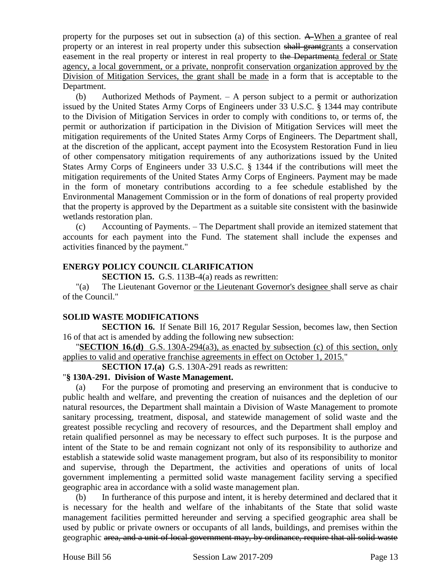property for the purposes set out in subsection (a) of this section. A When a grantee of real property or an interest in real property under this subsection shall grantgrants a conservation easement in the real property or interest in real property to the Departmenta federal or State agency, a local government, or a private, nonprofit conservation organization approved by the Division of Mitigation Services, the grant shall be made in a form that is acceptable to the Department.

(b) Authorized Methods of Payment. – A person subject to a permit or authorization issued by the United States Army Corps of Engineers under 33 U.S.C. § 1344 may contribute to the Division of Mitigation Services in order to comply with conditions to, or terms of, the permit or authorization if participation in the Division of Mitigation Services will meet the mitigation requirements of the United States Army Corps of Engineers. The Department shall, at the discretion of the applicant, accept payment into the Ecosystem Restoration Fund in lieu of other compensatory mitigation requirements of any authorizations issued by the United States Army Corps of Engineers under 33 U.S.C. § 1344 if the contributions will meet the mitigation requirements of the United States Army Corps of Engineers. Payment may be made in the form of monetary contributions according to a fee schedule established by the Environmental Management Commission or in the form of donations of real property provided that the property is approved by the Department as a suitable site consistent with the basinwide wetlands restoration plan.

(c) Accounting of Payments. – The Department shall provide an itemized statement that accounts for each payment into the Fund. The statement shall include the expenses and activities financed by the payment."

#### **ENERGY POLICY COUNCIL CLARIFICATION**

**SECTION 15.** G.S. 113B-4(a) reads as rewritten:

"(a) The Lieutenant Governor or the Lieutenant Governor's designee shall serve as chair of the Council."

#### **SOLID WASTE MODIFICATIONS**

**SECTION 16.** If Senate Bill 16, 2017 Regular Session, becomes law, then Section 16 of that act is amended by adding the following new subsection:

"**SECTION 16.(d)** G.S. 130A-294(a3), as enacted by subsection (c) of this section, only applies to valid and operative franchise agreements in effect on October 1, 2015."

**SECTION 17.(a)** G.S. 130A-291 reads as rewritten:

#### "**§ 130A-291. Division of Waste Management.**

(a) For the purpose of promoting and preserving an environment that is conducive to public health and welfare, and preventing the creation of nuisances and the depletion of our natural resources, the Department shall maintain a Division of Waste Management to promote sanitary processing, treatment, disposal, and statewide management of solid waste and the greatest possible recycling and recovery of resources, and the Department shall employ and retain qualified personnel as may be necessary to effect such purposes. It is the purpose and intent of the State to be and remain cognizant not only of its responsibility to authorize and establish a statewide solid waste management program, but also of its responsibility to monitor and supervise, through the Department, the activities and operations of units of local government implementing a permitted solid waste management facility serving a specified geographic area in accordance with a solid waste management plan.

(b) In furtherance of this purpose and intent, it is hereby determined and declared that it is necessary for the health and welfare of the inhabitants of the State that solid waste management facilities permitted hereunder and serving a specified geographic area shall be used by public or private owners or occupants of all lands, buildings, and premises within the geographic area, and a unit of local government may, by ordinance, require that all solid waste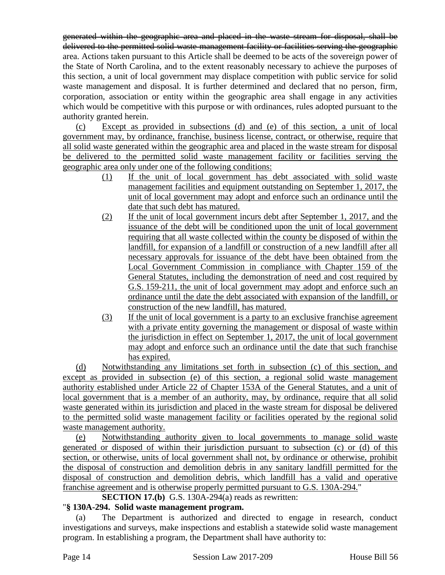generated within the geographic area and placed in the waste stream for disposal, shall be delivered to the permitted solid waste management facility or facilities serving the geographic area. Actions taken pursuant to this Article shall be deemed to be acts of the sovereign power of the State of North Carolina, and to the extent reasonably necessary to achieve the purposes of this section, a unit of local government may displace competition with public service for solid waste management and disposal. It is further determined and declared that no person, firm, corporation, association or entity within the geographic area shall engage in any activities which would be competitive with this purpose or with ordinances, rules adopted pursuant to the authority granted herein.

(c) Except as provided in subsections (d) and (e) of this section, a unit of local government may, by ordinance, franchise, business license, contract, or otherwise, require that all solid waste generated within the geographic area and placed in the waste stream for disposal be delivered to the permitted solid waste management facility or facilities serving the geographic area only under one of the following conditions:

- (1) If the unit of local government has debt associated with solid waste management facilities and equipment outstanding on September 1, 2017, the unit of local government may adopt and enforce such an ordinance until the date that such debt has matured.
- (2) If the unit of local government incurs debt after September 1, 2017, and the issuance of the debt will be conditioned upon the unit of local government requiring that all waste collected within the county be disposed of within the landfill, for expansion of a landfill or construction of a new landfill after all necessary approvals for issuance of the debt have been obtained from the Local Government Commission in compliance with Chapter 159 of the General Statutes, including the demonstration of need and cost required by G.S. 159-211, the unit of local government may adopt and enforce such an ordinance until the date the debt associated with expansion of the landfill, or construction of the new landfill, has matured.
- (3) If the unit of local government is a party to an exclusive franchise agreement with a private entity governing the management or disposal of waste within the jurisdiction in effect on September 1, 2017, the unit of local government may adopt and enforce such an ordinance until the date that such franchise has expired.

(d) Notwithstanding any limitations set forth in subsection (c) of this section, and except as provided in subsection (e) of this section, a regional solid waste management authority established under Article 22 of Chapter 153A of the General Statutes, and a unit of local government that is a member of an authority, may, by ordinance, require that all solid waste generated within its jurisdiction and placed in the waste stream for disposal be delivered to the permitted solid waste management facility or facilities operated by the regional solid waste management authority.

(e) Notwithstanding authority given to local governments to manage solid waste generated or disposed of within their jurisdiction pursuant to subsection (c) or (d) of this section, or otherwise, units of local government shall not, by ordinance or otherwise, prohibit the disposal of construction and demolition debris in any sanitary landfill permitted for the disposal of construction and demolition debris, which landfill has a valid and operative franchise agreement and is otherwise properly permitted pursuant to G.S. 130A-294."

**SECTION 17.(b)** G.S. 130A-294(a) reads as rewritten:

### "**§ 130A-294. Solid waste management program.**

(a) The Department is authorized and directed to engage in research, conduct investigations and surveys, make inspections and establish a statewide solid waste management program. In establishing a program, the Department shall have authority to: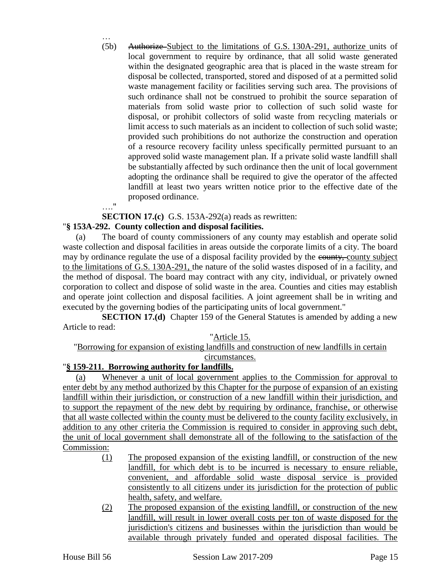… (5b) Authorize Subject to the limitations of G.S. 130A-291, authorize units of local government to require by ordinance, that all solid waste generated within the designated geographic area that is placed in the waste stream for disposal be collected, transported, stored and disposed of at a permitted solid waste management facility or facilities serving such area. The provisions of such ordinance shall not be construed to prohibit the source separation of materials from solid waste prior to collection of such solid waste for disposal, or prohibit collectors of solid waste from recycling materials or limit access to such materials as an incident to collection of such solid waste; provided such prohibitions do not authorize the construction and operation of a resource recovery facility unless specifically permitted pursuant to an approved solid waste management plan. If a private solid waste landfill shall be substantially affected by such ordinance then the unit of local government adopting the ordinance shall be required to give the operator of the affected landfill at least two years written notice prior to the effective date of the proposed ordinance. …."

### **SECTION 17.(c)** G.S. 153A-292(a) reads as rewritten:

### "**§ 153A-292. County collection and disposal facilities.**

(a) The board of county commissioners of any county may establish and operate solid waste collection and disposal facilities in areas outside the corporate limits of a city. The board may by ordinance regulate the use of a disposal facility provided by the equally county subject to the limitations of G.S. 130A-291, the nature of the solid wastes disposed of in a facility, and the method of disposal. The board may contract with any city, individual, or privately owned corporation to collect and dispose of solid waste in the area. Counties and cities may establish and operate joint collection and disposal facilities. A joint agreement shall be in writing and executed by the governing bodies of the participating units of local government."

**SECTION 17.(d)** Chapter 159 of the General Statutes is amended by adding a new Article to read:

#### "Article 15.

# "Borrowing for expansion of existing landfills and construction of new landfills in certain

#### circumstances. "**§ 159-211. Borrowing authority for landfills.**

(a) Whenever a unit of local government applies to the Commission for approval to enter debt by any method authorized by this Chapter for the purpose of expansion of an existing landfill within their jurisdiction, or construction of a new landfill within their jurisdiction, and to support the repayment of the new debt by requiring by ordinance, franchise, or otherwise that all waste collected within the county must be delivered to the county facility exclusively, in addition to any other criteria the Commission is required to consider in approving such debt, the unit of local government shall demonstrate all of the following to the satisfaction of the Commission:

- (1) The proposed expansion of the existing landfill, or construction of the new landfill, for which debt is to be incurred is necessary to ensure reliable, convenient, and affordable solid waste disposal service is provided consistently to all citizens under its jurisdiction for the protection of public health, safety, and welfare.
- (2) The proposed expansion of the existing landfill, or construction of the new landfill, will result in lower overall costs per ton of waste disposed for the jurisdiction's citizens and businesses within the jurisdiction than would be available through privately funded and operated disposal facilities. The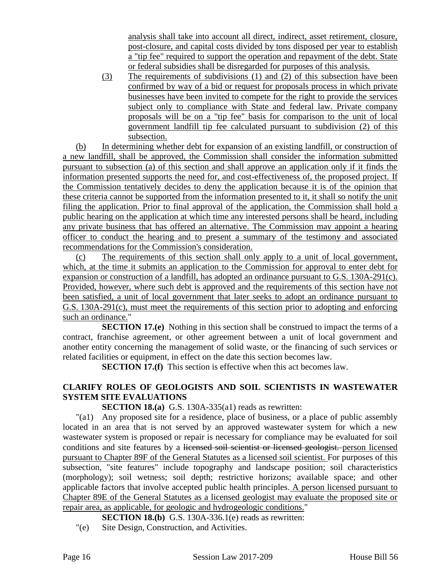analysis shall take into account all direct, indirect, asset retirement, closure, post-closure, and capital costs divided by tons disposed per year to establish a "tip fee" required to support the operation and repayment of the debt. State or federal subsidies shall be disregarded for purposes of this analysis.

(3) The requirements of subdivisions (1) and (2) of this subsection have been confirmed by way of a bid or request for proposals process in which private businesses have been invited to compete for the right to provide the services subject only to compliance with State and federal law. Private company proposals will be on a "tip fee" basis for comparison to the unit of local government landfill tip fee calculated pursuant to subdivision (2) of this subsection.

(b) In determining whether debt for expansion of an existing landfill, or construction of a new landfill, shall be approved, the Commission shall consider the information submitted pursuant to subsection (a) of this section and shall approve an application only if it finds the information presented supports the need for, and cost-effectiveness of, the proposed project. If the Commission tentatively decides to deny the application because it is of the opinion that these criteria cannot be supported from the information presented to it, it shall so notify the unit filing the application. Prior to final approval of the application, the Commission shall hold a public hearing on the application at which time any interested persons shall be heard, including any private business that has offered an alternative. The Commission may appoint a hearing officer to conduct the hearing and to present a summary of the testimony and associated recommendations for the Commission's consideration.

(c) The requirements of this section shall only apply to a unit of local government, which, at the time it submits an application to the Commission for approval to enter debt for expansion or construction of a landfill, has adopted an ordinance pursuant to G.S. 130A-291(c). Provided, however, where such debt is approved and the requirements of this section have not been satisfied, a unit of local government that later seeks to adopt an ordinance pursuant to G.S. 130A-291(c), must meet the requirements of this section prior to adopting and enforcing such an ordinance."

**SECTION 17.(e)** Nothing in this section shall be construed to impact the terms of a contract, franchise agreement, or other agreement between a unit of local government and another entity concerning the management of solid waste, or the financing of such services or related facilities or equipment, in effect on the date this section becomes law.

**SECTION 17.(f)** This section is effective when this act becomes law.

### **CLARIFY ROLES OF GEOLOGISTS AND SOIL SCIENTISTS IN WASTEWATER SYSTEM SITE EVALUATIONS**

**SECTION 18.(a)** G.S. 130A-335(a1) reads as rewritten:

"(a1) Any proposed site for a residence, place of business, or a place of public assembly located in an area that is not served by an approved wastewater system for which a new wastewater system is proposed or repair is necessary for compliance may be evaluated for soil conditions and site features by a licensed soil scientist or licensed geologist. person licensed pursuant to Chapter 89F of the General Statutes as a licensed soil scientist. For purposes of this subsection, "site features" include topography and landscape position; soil characteristics (morphology); soil wetness; soil depth; restrictive horizons; available space; and other applicable factors that involve accepted public health principles. A person licensed pursuant to Chapter 89E of the General Statutes as a licensed geologist may evaluate the proposed site or repair area, as applicable, for geologic and hydrogeologic conditions."

**SECTION 18.(b)** G.S. 130A-336.1(e) reads as rewritten:

"(e) Site Design, Construction, and Activities.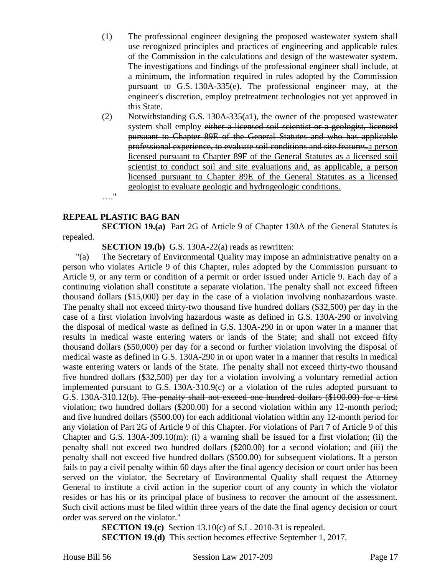- (1) The professional engineer designing the proposed wastewater system shall use recognized principles and practices of engineering and applicable rules of the Commission in the calculations and design of the wastewater system. The investigations and findings of the professional engineer shall include, at a minimum, the information required in rules adopted by the Commission pursuant to G.S. 130A-335(e). The professional engineer may, at the engineer's discretion, employ pretreatment technologies not yet approved in this State.
- (2) Notwithstanding G.S. 130A-335(a1), the owner of the proposed wastewater system shall employ either a licensed soil scientist or a geologist, licensed pursuant to Chapter 89E of the General Statutes and who has applicable professional experience, to evaluate soil conditions and site features.a person licensed pursuant to Chapter 89F of the General Statutes as a licensed soil scientist to conduct soil and site evaluations and, as applicable, a person licensed pursuant to Chapter 89E of the General Statutes as a licensed geologist to evaluate geologic and hydrogeologic conditions.

…."

#### **REPEAL PLASTIC BAG BAN**

**SECTION 19.(a)** Part 2G of Article 9 of Chapter 130A of the General Statutes is repealed.

**SECTION 19.(b)** G.S. 130A-22(a) reads as rewritten:

"(a) The Secretary of Environmental Quality may impose an administrative penalty on a person who violates Article 9 of this Chapter, rules adopted by the Commission pursuant to Article 9, or any term or condition of a permit or order issued under Article 9. Each day of a continuing violation shall constitute a separate violation. The penalty shall not exceed fifteen thousand dollars (\$15,000) per day in the case of a violation involving nonhazardous waste. The penalty shall not exceed thirty-two thousand five hundred dollars (\$32,500) per day in the case of a first violation involving hazardous waste as defined in G.S. 130A-290 or involving the disposal of medical waste as defined in G.S. 130A-290 in or upon water in a manner that results in medical waste entering waters or lands of the State; and shall not exceed fifty thousand dollars (\$50,000) per day for a second or further violation involving the disposal of medical waste as defined in G.S. 130A-290 in or upon water in a manner that results in medical waste entering waters or lands of the State. The penalty shall not exceed thirty-two thousand five hundred dollars (\$32,500) per day for a violation involving a voluntary remedial action implemented pursuant to G.S. 130A-310.9(c) or a violation of the rules adopted pursuant to G.S. 130A-310.12(b). The penalty shall not exceed one hundred dollars (\$100.00) for a first violation; two hundred dollars (\$200.00) for a second violation within any 12-month period; and five hundred dollars (\$500.00) for each additional violation within any 12-month period for any violation of Part 2G of Article 9 of this Chapter. For violations of Part 7 of Article 9 of this Chapter and G.S. 130A-309.10(m): (i) a warning shall be issued for a first violation; (ii) the penalty shall not exceed two hundred dollars (\$200.00) for a second violation; and (iii) the penalty shall not exceed five hundred dollars (\$500.00) for subsequent violations. If a person fails to pay a civil penalty within 60 days after the final agency decision or court order has been served on the violator, the Secretary of Environmental Quality shall request the Attorney General to institute a civil action in the superior court of any county in which the violator resides or has his or its principal place of business to recover the amount of the assessment. Such civil actions must be filed within three years of the date the final agency decision or court order was served on the violator."

> **SECTION 19.(c)** Section 13.10(c) of S.L. 2010-31 is repealed. **SECTION 19.(d)** This section becomes effective September 1, 2017.

House Bill 56 Session Law 2017-209 Page 17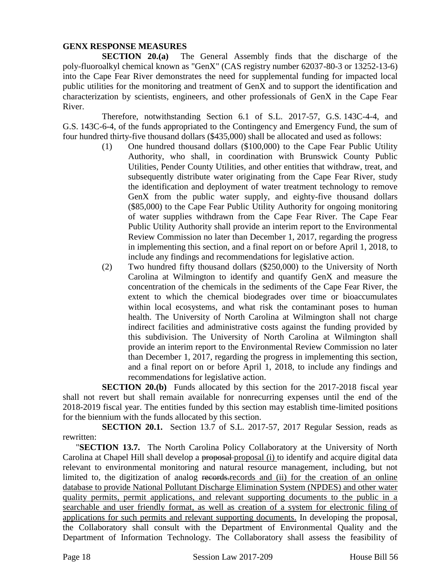#### **GENX RESPONSE MEASURES**

**SECTION 20.(a)** The General Assembly finds that the discharge of the poly-fluoroalkyl chemical known as "GenX" (CAS registry number 62037-80-3 or 13252-13-6) into the Cape Fear River demonstrates the need for supplemental funding for impacted local public utilities for the monitoring and treatment of GenX and to support the identification and characterization by scientists, engineers, and other professionals of GenX in the Cape Fear River.

Therefore, notwithstanding Section 6.1 of S.L. 2017-57, G.S. 143C-4-4, and G.S. 143C-6-4, of the funds appropriated to the Contingency and Emergency Fund, the sum of four hundred thirty-five thousand dollars (\$435,000) shall be allocated and used as follows:

- (1) One hundred thousand dollars (\$100,000) to the Cape Fear Public Utility Authority, who shall, in coordination with Brunswick County Public Utilities, Pender County Utilities, and other entities that withdraw, treat, and subsequently distribute water originating from the Cape Fear River, study the identification and deployment of water treatment technology to remove GenX from the public water supply, and eighty-five thousand dollars (\$85,000) to the Cape Fear Public Utility Authority for ongoing monitoring of water supplies withdrawn from the Cape Fear River. The Cape Fear Public Utility Authority shall provide an interim report to the Environmental Review Commission no later than December 1, 2017, regarding the progress in implementing this section, and a final report on or before April 1, 2018, to include any findings and recommendations for legislative action.
- (2) Two hundred fifty thousand dollars (\$250,000) to the University of North Carolina at Wilmington to identify and quantify GenX and measure the concentration of the chemicals in the sediments of the Cape Fear River, the extent to which the chemical biodegrades over time or bioaccumulates within local ecosystems, and what risk the contaminant poses to human health. The University of North Carolina at Wilmington shall not charge indirect facilities and administrative costs against the funding provided by this subdivision. The University of North Carolina at Wilmington shall provide an interim report to the Environmental Review Commission no later than December 1, 2017, regarding the progress in implementing this section, and a final report on or before April 1, 2018, to include any findings and recommendations for legislative action.

**SECTION 20.(b)** Funds allocated by this section for the 2017-2018 fiscal year shall not revert but shall remain available for nonrecurring expenses until the end of the 2018-2019 fiscal year. The entities funded by this section may establish time-limited positions for the biennium with the funds allocated by this section.

**SECTION 20.1.** Section 13.7 of S.L. 2017-57, 2017 Regular Session, reads as rewritten:

"**SECTION 13.7.** The North Carolina Policy Collaboratory at the University of North Carolina at Chapel Hill shall develop a proposal proposal (i) to identify and acquire digital data relevant to environmental monitoring and natural resource management, including, but not limited to, the digitization of analog records.records and (ii) for the creation of an online database to provide National Pollutant Discharge Elimination System (NPDES) and other water quality permits, permit applications, and relevant supporting documents to the public in a searchable and user friendly format, as well as creation of a system for electronic filing of applications for such permits and relevant supporting documents. In developing the proposal, the Collaboratory shall consult with the Department of Environmental Quality and the Department of Information Technology. The Collaboratory shall assess the feasibility of